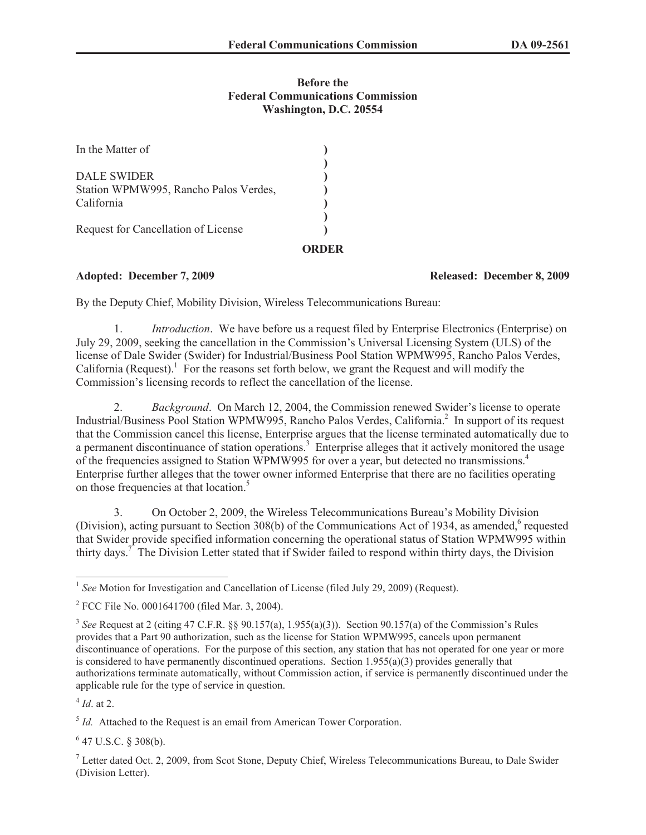## **Before the Federal Communications Commission Washington, D.C. 20554**

| Request for Cancellation of License                 |  |
|-----------------------------------------------------|--|
|                                                     |  |
| Station WPMW995, Rancho Palos Verdes,<br>California |  |
| DALE SWIDER                                         |  |
|                                                     |  |
| In the Matter of                                    |  |

## **Adopted: December 7, 2009 Released: December 8, 2009**

By the Deputy Chief, Mobility Division, Wireless Telecommunications Bureau:

1. *Introduction*. We have before us a request filed by Enterprise Electronics (Enterprise) on July 29, 2009, seeking the cancellation in the Commission's Universal Licensing System (ULS) of the license of Dale Swider (Swider) for Industrial/Business Pool Station WPMW995, Rancho Palos Verdes, California (Request).<sup>1</sup> For the reasons set forth below, we grant the Request and will modify the Commission's licensing records to reflect the cancellation of the license.

2. *Background*. On March 12, 2004, the Commission renewed Swider's license to operate Industrial/Business Pool Station WPMW995, Rancho Palos Verdes, California.<sup>2</sup> In support of its request that the Commission cancel this license, Enterprise argues that the license terminated automatically due to a permanent discontinuance of station operations.<sup>3</sup> Enterprise alleges that it actively monitored the usage of the frequencies assigned to Station WPMW995 for over a year, but detected no transmissions.<sup>4</sup> Enterprise further alleges that the tower owner informed Enterprise that there are no facilities operating on those frequencies at that location.<sup>5</sup>

3. On October 2, 2009, the Wireless Telecommunications Bureau's Mobility Division (Division), acting pursuant to Section 308(b) of the Communications Act of 1934, as amended, $6$  requested that Swider provide specified information concerning the operational status of Station WPMW995 within thirty days.<sup>7</sup> The Division Letter stated that if Swider failed to respond within thirty days, the Division

4 *Id*. at 2.

<sup>5</sup> Id. Attached to the Request is an email from American Tower Corporation.

 $6$  47 U.S.C. § 308(b).

<sup>7</sup> Letter dated Oct. 2, 2009, from Scot Stone, Deputy Chief, Wireless Telecommunications Bureau, to Dale Swider (Division Letter).

<sup>&</sup>lt;sup>1</sup> See Motion for Investigation and Cancellation of License (filed July 29, 2009) (Request).

<sup>&</sup>lt;sup>2</sup> FCC File No. 0001641700 (filed Mar. 3, 2004).

<sup>3</sup> *See* Request at 2 (citing 47 C.F.R. §§ 90.157(a), 1.955(a)(3)). Section 90.157(a) of the Commission's Rules provides that a Part 90 authorization, such as the license for Station WPMW995, cancels upon permanent discontinuance of operations. For the purpose of this section, any station that has not operated for one year or more is considered to have permanently discontinued operations. Section 1.955(a)(3) provides generally that authorizations terminate automatically, without Commission action, if service is permanently discontinued under the applicable rule for the type of service in question.